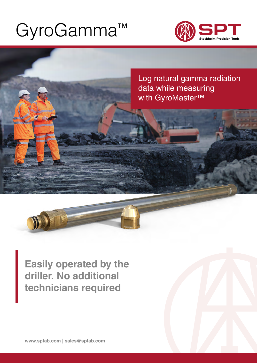# [GyroGamma™](https://sptab.com/es/productos/gyrologic/)



Log natural gamma radiation data while measuring with GyroMaster™

**Easily operated by the driller. No additional technicians required**